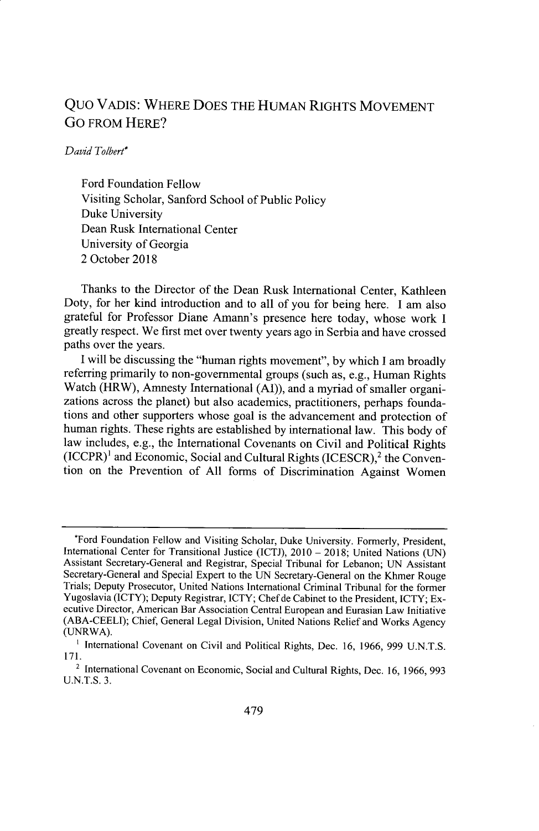## Quo VADIS: WHERE DOES THE HUMAN RIGHTS MOVEMENT **Go** FROM HERE?

## *David Tolbert\**

Ford Foundation Fellow Visiting Scholar, Sanford School of Public Policy Duke University Dean Rusk International Center University of Georgia 2 October 2018

Thanks to the Director of the Dean Rusk International Center, Kathleen Doty, for her kind introduction and to all of you for being here. I am also grateful for Professor Diane Amann's presence here today, whose work I greatly respect. We first met over twenty years ago in Serbia and have crossed paths over the years.

I will be discussing the "human rights movement", by which I am broadly referring primarily to non-governmental groups (such as, e.g., Human Rights Watch (HRW), Amnesty International (AI)), and a myriad of smaller organizations across the planet) but also academics, practitioners, perhaps foundations and other supporters whose goal is the advancement and protection of human rights. These rights are established by international law. This body of law includes, e.g., the International Covenants on Civil and Political Rights  $(ICCPR)^{1}$  and Economic, Social and Cultural Rights  $(ICESCR)^{2}$  the Convention on the Prevention of All forms of Discrimination Against Women

<sup>&#</sup>x27;Ford Foundation Fellow and Visiting Scholar, Duke University. Formerly, President, International Center for Transitional Justice (ICTJ), 2010 **-** 2018; United Nations (UN) Assistant Secretary-General and Registrar, Special Tribunal for Lebanon; UN Assistant Secretary-General and Special Expert to the UN Secretary-General on the Khmer Rouge Trials; Deputy Prosecutor, United Nations International Criminal Tribunal for the former Yugoslavia (ICTY); Deputy Registrar, ICTY; Chef de Cabinet to the President, ICTY; Executive Director, American Bar Association Central European and Eurasian Law Initiative (ABA-CEELI); Chief, General Legal Division, United Nations Relief and Works Agency (UNRWA).

<sup>&</sup>lt;sup>1</sup> International Covenant on Civil and Political Rights, Dec. 16, 1966, 999 U.N.T.S. 171.

<sup>&</sup>lt;sup>2</sup> International Covenant on Economic, Social and Cultural Rights, Dec. 16, 1966, 993 U.N.T.S. 3.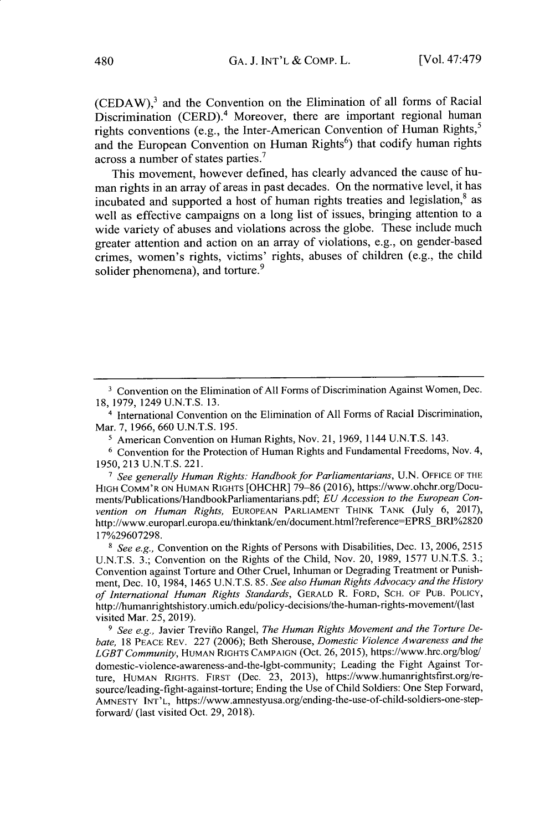$(CEDAW)$ ,<sup>3</sup> and the Convention on the Elimination of all forms of Racial Discrimination  $(CERD)^4$  Moreover, there are important regional human rights conventions (e.g., the Inter-American Convention of Human Rights,<sup>5</sup> and the European Convention on Human Rights<sup>6</sup>) that codify human rights across a number of states parties.

This movement, however defined, has clearly advanced the cause of human rights in an array of areas in past decades. On the normative level, it has incubated and supported a host of human rights treaties and legislation,<sup>8</sup> as well as effective campaigns on a long list of issues, bringing attention to a wide variety of abuses and violations across the globe. These include much greater attention and action on an array of violations, e.g., on gender-based crimes, women's rights, victims' rights, abuses of children (e.g., the child solider phenomena), and torture.<sup>9</sup>

**1** American Convention on Human Rights, Nov. 21, 1969, 1144 U.N.T.S. 143.

*7 See generally Human Rights: Handbook for Parliamentarians,* U.N. OFFICE OF THE HIGH COMM'R ON HUMAN RIGHTS [OHCHR] 79-86 (2016), https://www.ohchr.org/Documents/Publications/HandbookParliamentarians.pdf; *EU Accession to the European Convention on Human Rights,* EUROPEAN PARLIAMENT THINK TANK (July 6, 2017), http://www.europarl.europa.eu/thinktank/en/document.html?reference=EPRS\_BRI%2820 17%29607298.

*8 See e.g.,* Convention on the Rights of Persons with Disabilities, Dec. 13, 2006, 2515 U.N.T.S. 3.; Convention on the Rights of the Child, Nov. 20, 1989, 1577 U.N.T.S. 3.; Convention against Torture and Other Cruel, Inhuman or Degrading Treatment or Punishment, Dec. 10, 1984, 1465 U.N.T.S. 85. *See also Human Rights Advocacy and the History of International Human Rights Standards,* GERALD R. FORD, SCH. OF **PUB.** POLICY, http://humanrightshistory.umich.edu/policy-decisions/the-human-rights-movement/(Iast visited Mar. 25, 2019).

*9 See e.g.,* Javier Trevifio Rangel, *The Human Rights Movement and the Torture Debate,* 18 PEACE REV. 227 (2006); Beth Sherouse, *Domestic Violence Awareness and the LGBT Community,* HUMAN RIGHTS CAMPAIGN (Oct. 26, 2015), https://www.hrc.org/blog/ domestic-violence-awareness-and-the-Igbt-community; Leading the Fight Against Torture, HUMAN RIGHTS. FIRST (Dec. 23, 2013), https://www.humanrightsfirst.org/resource/leading-fight-against-torture; Ending the Use of Child Soldiers: One Step Forward, AMNESTY **INT'L,** https://www.amnestyusa.org/ending-the-use-of-child-soldiers-one-stepforward/ (last visited Oct. 29, 2018).

<sup>&</sup>lt;sup>3</sup> Convention on the Elimination of All Forms of Discrimination Against Women, Dec. 18, 1979, 1249 U.N.T.S. 13.

<sup>4</sup> International Convention on the Elimination of All Forms of Racial Discrimination, Mar. 7, 1966, 660 U.N.T.S. 195.

**<sup>6</sup>** Convention for the Protection of Human Rights and Fundamental Freedoms, Nov. 4, 1950, 213 U.N.T.S. 221.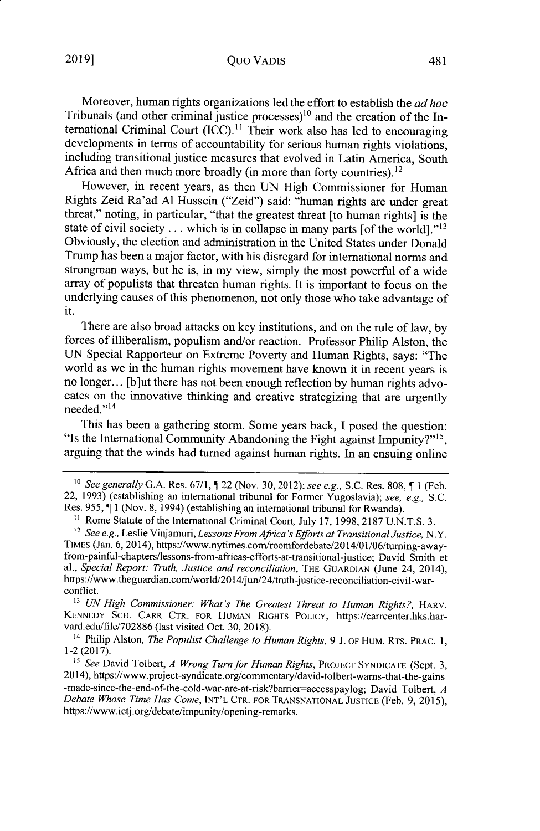## Quo VADIS

Moreover, human rights organizations led the effort to establish the *ad hoc* Tribunals (and other criminal justice processes)<sup>10</sup> and the creation of the International Criminal Court  $(ICC)$ .<sup>11</sup> Their work also has led to encouraging developments in terms of accountability for serious human rights violations, including transitional justice measures that evolved in Latin America, South Africa and then much more broadly (in more than forty countries).<sup>12</sup>

However, in recent years, as then UN High Commissioner for Human Rights Zeid Ra'ad **Al** Hussein ("Zeid") said: "human rights are under great threat," noting, in particular, "that the greatest threat [to human rights] is the state of civil society  $\dots$  which is in collapse in many parts [of the world].<sup>"13</sup> Obviously, the election and administration in the United States under Donald Trump has been a major factor, with his disregard for international norms and strongman ways, but he is, in my view, simply the most powerful of a wide array of populists that threaten human rights. It is important to focus on the underlying causes of this phenomenon, not only those who take advantage of it.

There are also broad attacks on key institutions, and on the rule of law, by forces of illiberalism, populism and/or reaction. Professor Philip Alston, the UN Special Rapporteur on Extreme Poverty and Human Rights, says: "The world as we in the human rights movement have known it in recent years is no longer... [b]ut there has not been enough reflection by human rights advocates on the innovative thinking and creative strategizing that are urgently needed."<sup>14</sup>

This has been a gathering storm. Some years back, I posed the question: "Is the International Community Abandoning the Fight against Impunity?"<sup>15</sup>, arguing that the winds had turned against human rights. In an ensuing online

<sup>&</sup>lt;sup>10</sup> See generally G.A. Res. 67/1,  $\sqrt{2}$  22 (Nov. 30, 2012); *see e.g.*, S.C. Res. 808,  $\sqrt{2}$  1 (Feb. 22, 1993) (establishing an international tribunal for Former Yugoslavia); *see, e.g.,* S.C. Res. 955,  $\P$  1 (Nov. 8, 1994) (establishing an international tribunal for Rwanda).

<sup>&</sup>lt;sup>11</sup> Rome Statute of the International Criminal Court, July 17, 1998, 2187 U.N.T.S. 3.

*<sup>2</sup> See e.g.,* Leslie Vinjamuri, *Lessons From Africa's Efforts at Transitional Justice,* N.Y. TIMES (Jan. 6, 2014), https://www.nytimes.com/roomfordebate/2014/01/06/turning-awayfrom-painful-chapters/lessons-from-africas-efforts-at-transitional-justice; David Smith et al., *Special Report: Truth, Justice and reconciliation*, THE GUARDIAN (June 24, 2014), https://www.theguardian.com/world/2014/jun/24/truth-justice-reconciliation-civil-warconflict.

**<sup>&</sup>quot;3** UN *High Commissioner: What's The Greatest Threat to Human Rights?,* HARV. KENNEDY SCH. CARR CTR. FOR HUMAN RIGHTS POLICY, https://carrcenter.hks.harvard.edu/file/702886 (last visited Oct. 30, 2018).

<sup>14</sup> Philip Alston, *The Populist Challenge to Human Rights,* 9 J. OF HUM. RTS. PRAC. **1,** 1-2 (2017).

**<sup>&</sup>quot;5** *See* David Tolbert, *A Wrong Turn for Human Rights,* PROJECT SYNDICATE (Sept. 3, 2014), https://www.project-syndicate.org/commentary/david-tolbert-warns-that-the-gains -made-since-the-end-of-the-cold-war-are-at-risk?barrier-accesspaylog; David Tolbert, *A Debate Whose Time Has Come,* INT'L CTR. FOR TRANSNATIONAL JUSTICE (Feb. 9, 2015), https://www.ictj.org/debate/impunity/opening-remarks.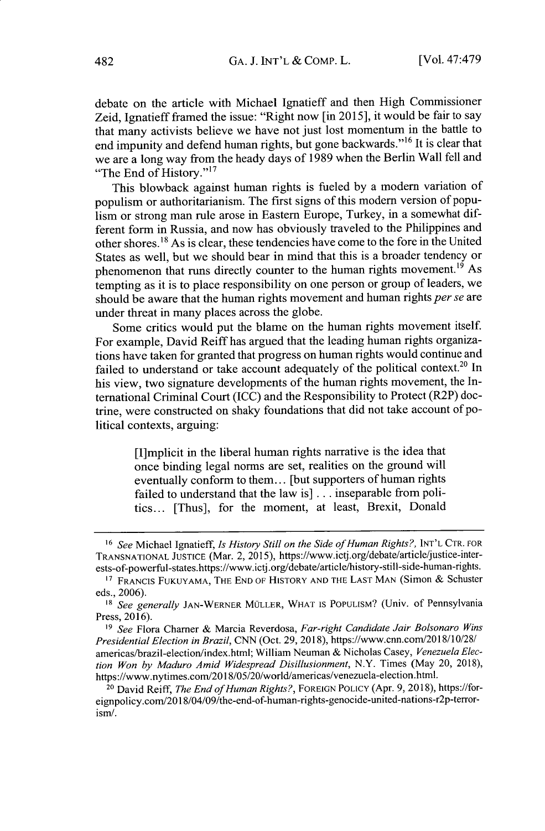debate on the article with Michael Ignatieff and then High Commissioner Zeid, Ignatieff framed the issue: "Right now [in 2015], it would be fair to say that many activists believe we have not just lost momentum in the battle to end impunity and defend human rights, but gone backwards."<sup>16</sup> It is clear that we are a long way from the heady days of 1989 when the Berlin Wall fell and "The End of History."<sup>17</sup>

This blowback against human rights is fueled by a modem variation of populism or authoritarianism. The first signs of this modern version of populism or strong man rule arose in Eastern Europe, Turkey, in a somewhat different form in Russia, and now has obviously traveled to the Philippines and other shores.<sup>18</sup>As is clear, these tendencies have come to the fore in the United States as well, but we should bear in mind that this is a broader tendency or phenomenon that runs directly counter to the human rights movement.<sup>19</sup> As tempting as it is to place responsibility on one person or group of leaders, we should be aware that the human rights movement and human rights *per se* are under threat in many places across the globe.

Some critics would put the blame on the human rights movement itself. For example, David Reiff has argued that the leading human rights organizations have taken for granted that progress on human rights would continue and failed to understand or take account adequately of the political context.<sup>20</sup> In his view, two signature developments of the human rights movement, the International Criminal Court (ICC) and the Responsibility to Protect (R2P) doctrine, were constructed on shaky foundations that did not take account of political contexts, arguing:

> [I]mplicit in the liberal human rights narrative is the idea that once binding legal norms are set, realities on the ground will eventually conform to them... [but supporters of human rights failed to understand that the law is] **...** inseparable from politics... [Thus], for the moment, at least, Brexit, Donald

<sup>16</sup>*See* Michael Ignatieff, *Is History Still on the Side of Human Rights?,* INT'L CTR. FOR TRANSNATIONAL JUSTICE (Mar. 2, 2015), https://www.ictj.org/debate/article/justice-interests-of-powerful-states.https://www.ictj.org/debate/article/history-still-side-human-rights.

<sup>&</sup>lt;sup>17</sup> FRANCIS FUKUYAMA, THE END OF HISTORY AND THE LAST MAN (Simon & Schuster eds., 2006).

<sup>&</sup>lt;sup>18</sup> *See generally JAN-WERNER MÜLLER, WHAT IS POPULISM?* (Univ. of Pennsylvania Press, 2016).

*<sup>19</sup>See* Flora Chamer & Marcia Reverdosa, *Far-right Candidate Jair Bolsonaro Wins Presidential Election in Brazil,* CNN (Oct. 29, 2018), https://www.cnn.com/2018/10/28/ americas/brazil-election/index.html; William Neuman & Nicholas Casey, *Venezuela Election Won by Maduro Amid Widespread Disillusionment,* N.Y. Times (May 20, 2018), https://www.nytimes.com/2018/05/20/world/americas/venezuela-election.html.

<sup>20</sup> David Reiff, *The End of Human Rights?,* FOREIGN POLICY (Apr. 9, 2018), https://foreignpolicy.com/2018/04/09/the-end-of-human-rights-genocide-united-nations-r2p-terrorism/.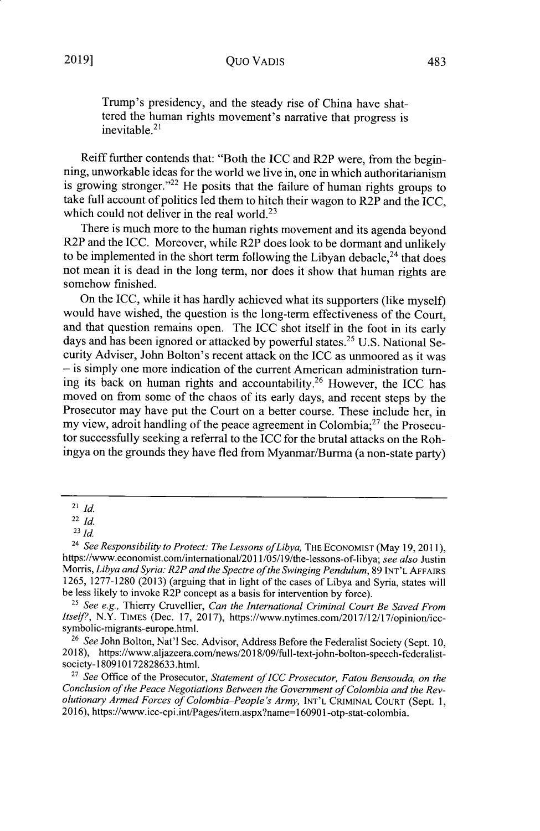Trump's presidency, and the steady rise of China have shattered the human rights movement's narrative that progress is  $i$ inevitable.<sup>21</sup>

Reiff further contends that: "Both the ICC and R2P were, from the beginning, unworkable ideas for the world we live in, one in which authoritarianism is growing stronger."<sup>22</sup> He posits that the failure of human rights groups to take full account of politics led them to hitch their wagon to  $R2\tilde{P}$  and the ICC, which could not deliver in the real world.<sup>23</sup>

There is much more to the human rights movement and its agenda beyond R2P and the ICC. Moreover, while R2P does look to be dormant and unlikely to be implemented in the short term following the Libyan debacle,<sup>24</sup> that does not mean it is dead in the long term, nor does it show that human rights are somehow finished.

On the ICC, while it has hardly achieved what its supporters (like myself) would have wished, the question is the long-term effectiveness of the Court, and that question remains open. The ICC shot itself in the foot in its early days and has been ignored or attacked by powerful states.<sup>25</sup> U.S. National Security Adviser, John Bolton's recent attack on the ICC as unmoored as it was **-** is simply one more indication of the current American administration turning its back on human rights and accountability.<sup>26</sup> However, the ICC has moved on from some of the chaos of its early days, and recent steps by the Prosecutor may have put the Court on a better course. These include her, in my view, adroit handling of the peace agreement in Colombia; $^{27}$  the Prosecutor successfully seeking a referral to the ICC for the brutal attacks on the Rohingya on the grounds they have fled from Myanmar/Burma (a non-state party)

<sup>21</sup>*Id.*

<sup>22</sup>*Id.*

<sup>23</sup>*Id*

<sup>&</sup>lt;sup>24</sup> See Responsibility to Protect: The Lessons of Libya, THE ECONOMIST (May 19, 2011), https://www.economist.com/intemational/2011/05/19/the-lessons-of-libya; *see also* Justin Morris, *Libya and Syria: R2P and the Spectre of the Swinging Pendulum,* 89 **INT'L AFFAIRS** 1265, 1277-1280 (2013) (arguing that in light of the cases of Libya and Syria, states will be less likely to invoke R2P concept as a basis for intervention by force).

<sup>25</sup>*See e.g.,* Thierry Cruvellier, *Can the International Criminal Court Be Saved From Itself?*, N.Y. TIMES (Dec. 17, 2017), https://www.nytimes.com/2017/12/17/opinion/iccsymbolic-migrants-europe.html.

*<sup>26</sup>See* John Bolton, Nat'l Sec. Advisor, Address Before the Federalist Society (Sept. 10, 2018), https://www.aljazeera.com/news/2018/09/full-text-john-bolton-speech-federalistsociety- 180910172828633.html.

<sup>27</sup>*See* Office of the Prosecutor, *Statement of ICC Prosecutor, Fatou Bensouda, on the Conclusion of the Peace Negotiations Between the Government of Colombia and the Revolutionary Armed Forces of Colombia-People's Army,* **INT'L CRIMINAL COURT** (Sept. 1, 2016), https://www.icc-cpi.int/Pages/item.aspx?name <sup>=</sup> 160901 -otp-stat-colombia.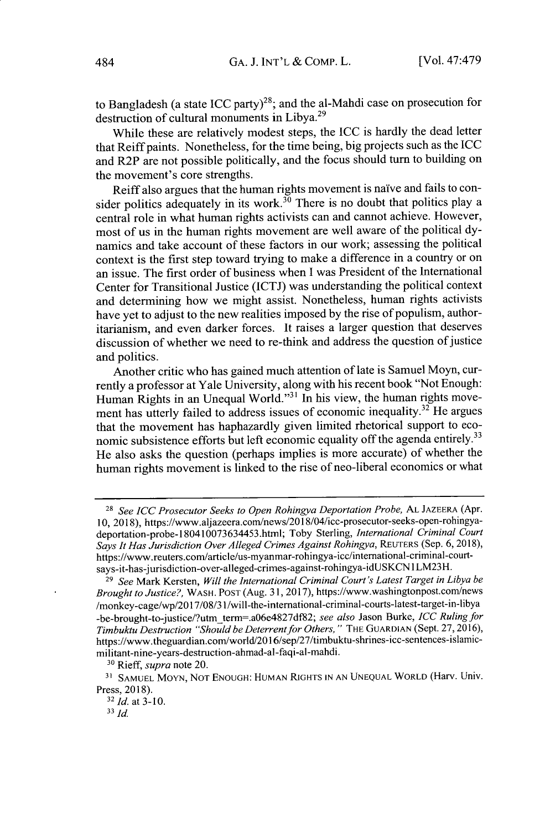to Bangladesh (a state ICC party)<sup>28</sup>; and the al-Mahdi case on prosecution for destruction of cultural monuments in Libya.<sup>29</sup>

While these are relatively modest steps, the ICC is hardly the dead letter that Reiff paints. Nonetheless, for the time being, big projects such as the ICC and R2P are not possible politically, and the focus should turn to building on the movement's core strengths.

Reiff also argues that the human rights movement is naive and fails to consider politics adequately in its work.<sup>30</sup> There is no doubt that politics play a central role in what human rights activists can and cannot achieve. However, most of us in the human rights movement are well aware of the political dynamics and take account of these factors in our work; assessing the political context is the first step toward trying to make a difference in a country or on an issue. The first order of business when I was President of the International Center for Transitional Justice (ICTJ) was understanding the political context and determining how we might assist. Nonetheless, human rights activists have yet to adjust to the new realities imposed by the rise of populism, authoritarianism, and even darker forces. It raises a larger question that deserves discussion of whether we need to re-think and address the question of justice and politics.

Another critic who has gained much attention of late is Samuel Moyn, currently a professor at Yale University, along with his recent book "Not Enough: Human Rights in an Unequal World."<sup>31</sup> In his view, the human rights movement has utterly failed to address issues of economic inequality.<sup>32</sup> He argues that the movement has haphazardly given limited rhetorical support to economic subsistence efforts but left economic equality off the agenda entirely.<sup>33</sup> He also asks the question (perhaps implies is more accurate) of whether the human rights movement is linked to the rise of neo-liberal economics or what

<sup>28</sup>*See* ICC *Prosecutor Seeks to Open Rohingya Deportation Probe,* **AL** JAZEERA (Apr. 10, 2018), https://www.aljazeera.com/news/2018/04/icc-prosecutor-seeks-open-rohingyadeportation-probe-180410073634453.html; Toby Sterling, *International Criminal Court Says It Has Jurisdiction Over Alleged Crimes Against Rohingya,* REUTERS (Sep. 6, 2018), https://www.reuters.com/article/us-myanmar-rohingya-icc/international-criminal-courtsays-it-has-jurisdiction-over-alleged-crimes-against-rohingya-idUSKCN 1LM23H.

<sup>29</sup>*See* Mark Kersten, *Will the International Criminal Court's Latest Target in Libya be Brought to Justice?,* WASH. POST (Aug. 31, 2017), https://www.washingtonpost.com/news /monkey-cage/wp/2017/08/3 1/will-the-intemational-criminal-courts-latest-target-in-libya -be-brought-to-justice/?utmterm=.a06e4827df82; *see also* Jason Burke, *ICC Ruling for Timbuktu Destruction "Should be Deterrentfor Others, "* THE GUARDIAN (Sept. 27, 2016), https://www.theguardian.com/world/2016/sep/27/timbuktu-shrines-icc-sentences-islamicmilitant-nine-years-destruction-ahmad-al-faqi-al-mahdi.

<sup>30</sup>Rieff, *supra* note 20.

<sup>&</sup>lt;sup>31</sup> SAMUEL MOYN, NOT ENOUGH: HUMAN RIGHTS IN AN UNEQUAL WORLD (Harv. Univ. Press, 2018).

<sup>32</sup>*Id.* at **3-10.**

**<sup>33</sup> Id.**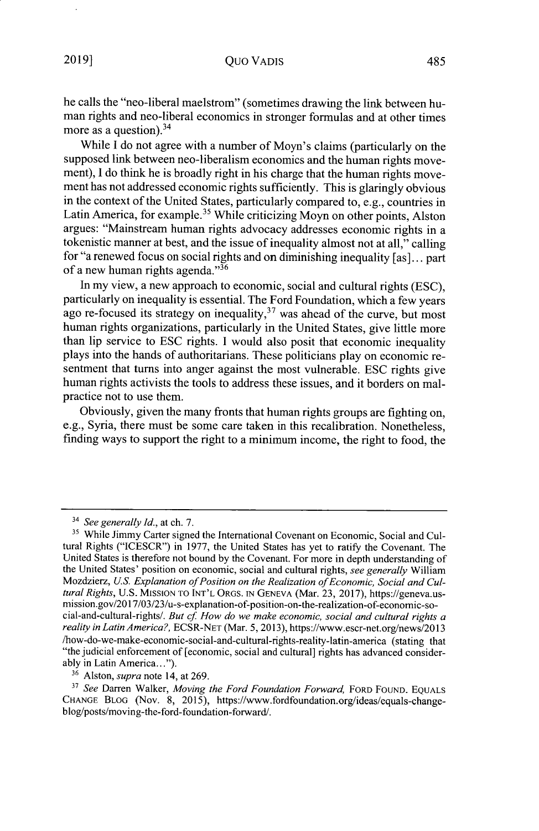he calls the "neo-liberal maelstrom" (sometimes drawing the link between human rights and neo-liberal economics in stronger formulas and at other times more as a question). $34$ 

While I do not agree with a number of Moyn's claims (particularly on the supposed link between neo-liberalism economics and the human rights movement), I do think he is broadly right in his charge that the human rights movement has not addressed economic rights sufficiently. This is glaringly obvious in the context of the United States, particularly compared to, e.g., countries in Latin America, for example.<sup>35</sup> While criticizing Moyn on other points, Alston argues: "Mainstream human rights advocacy addresses economic rights in a tokenistic manner at best, and the issue of inequality almost not at all," calling for "a renewed focus on social rights and on diminishing inequality [as]... part of a new human rights agenda." $36$ 

In my view, a new approach to economic, social and cultural rights (ESC), particularly on inequality is essential. The Ford Foundation, which a few years ago re-focused its strategy on inequality,  $37$  was ahead of the curve, but most human rights organizations, particularly in the United States, give little more than lip service to ESC rights. I would also posit that economic inequality plays into the hands of authoritarians. These politicians play on economic resentment that turns into anger against the most vulnerable. ESC rights give human rights activists the tools to address these issues, and it borders on malpractice not to use them.

Obviously, given the many fronts that human rights groups are fighting on, e.g., Syria, there must be some care taken in this recalibration. Nonetheless, finding ways to support the right to a minimum income, the right to food, the

36 Alston, *supra* note 14, at 269.

<sup>3</sup> *See generally Id.,* at ch. 7.

<sup>&</sup>lt;sup>35</sup> While Jimmy Carter signed the International Covenant on Economic, Social and Cultural Rights ("ICESCR") in 1977, the United States has yet to ratify the Covenant. The United States is therefore not bound by the Covenant. For more in depth understanding of the United States' position on economic, social and cultural rights, *see generally* William Mozdzierz, *U.S. Explanation of Position on the Realization of Economic, Social and Cultural Rights,* U.S. MISSION TO INT'L ORGs. IN GENEVA (Mar. 23, 2017), https://geneva.usmission.gov/2017/03/23/u-s-explanation-of-position-on-the-realization-of-economic-social-and-cultural-rights/. *But* cf *How do we make economic, social and cultural rights a reality in Latin America?,* ECSR-NET (Mar. 5, 2013), https://www.escr-net.org/news/2013 /how-do-we-make-economic-social-and-cultural-rights-reality-latin-america (stating that "the judicial enforcement of [economic, social and cultural] rights has advanced considerably in Latin America...").

*<sup>&</sup>quot; See* Darren Walker, *Moving the Ford Foundation Forward,* FORD FOUND. EQUALS CHANGE BLOG (Nov. 8, 2015), https://www.fordfoundation.org/ideas/equals-changeblog/posts/moving-the-ford-foundation-forward/.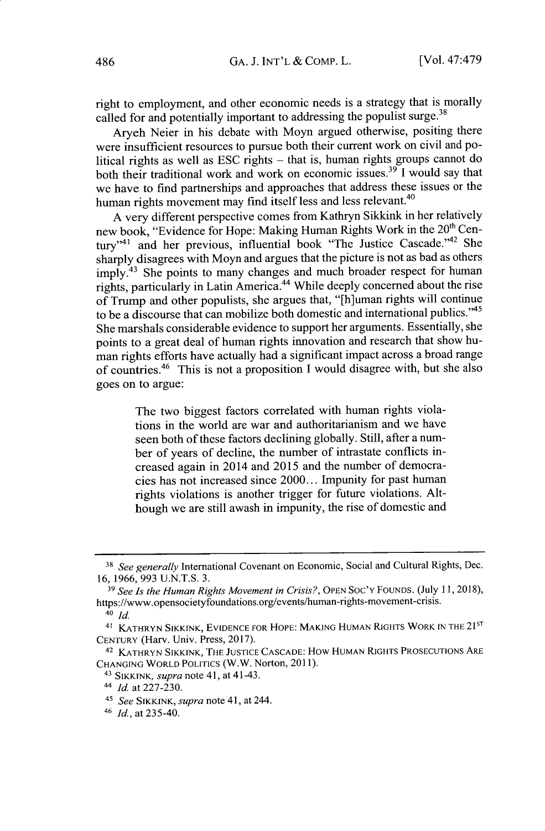right to employment, and other economic needs is a strategy that is morally called for and potentially important to addressing the populist surge.<sup>38</sup>

Aryeh Neier in his debate with Moyn argued otherwise, positing there were insufficient resources to pursue both their current work on civil and political rights as well as ESC rights **-** that is, human rights groups cannot do both their traditional work and work on economic issues.<sup>39</sup> I would say that we have to find partnerships and approaches that address these issues or the human rights movement may find itself less and less relevant.<sup>40</sup>

A very different perspective comes from Kathryn Sikkink in her relatively new book, "Evidence for Hope: Making Human Rights Work in the 20<sup>th</sup> Century"<sup>41</sup> and her previous, influential book "The Justice Cascade."<sup>42</sup> She sharply disagrees with Moyn and argues that the picture is not as bad as others imply.<sup>43</sup> She points to many changes and much broader respect for human rights, particularly in Latin America. <sup>44</sup>While deeply concerned about the rise of Trump and other populists, she argues that, "[h]uman rights will continue to be a discourse that can mobilize both domestic and international publics."<sup>45</sup> She marshals considerable evidence to support her arguments. Essentially, she points to a great deal of human rights innovation and research that show human rights efforts have actually had a significant impact across a broad range of countries.<sup>46</sup> This is not a proposition I would disagree with, but she also goes on to argue:

The two biggest factors correlated with human rights violations in the world are war and authoritarianism and we have seen both of these factors declining globally. Still, after a number of years of decline, the number of intrastate conflicts increased again in 2014 and 2015 and the number of democracies has not increased since 2000... Impunity for past human rights violations is another trigger for future violations. Although we are still awash in impunity, the rise of domestic and

**<sup>&#</sup>x27;8** *See generally* International Covenant on Economic, Social and Cultural Rights, Dec. 16, 1966, 993 U.N.T.S. 3.

**<sup>&#</sup>x27;9** *See Is the Human Rights Movement in Crisis?,* OPEN Soc'Y FOUNDS. (July 11,2018), https://www.opensocietyfoundations.org/events/human-rights-movement-crisis.

<sup>40</sup> *Id.*

<sup>41</sup> KATHRYN SIKKTNK, EVIDENCE FOR HOPE: **MAKING** HUMAN RIGHTS WORK **IN** THE 2 1sT **CENTURY** (Harv. Univ. Press, 2017).

<sup>42</sup> KATHRYN SIKKINK, THE **JUSTICE CASCADE:** How HUMAN RIGHTS PROSECUTIONS ARE **CHANGING** WORLD **POLITICS** (W.W. Norton, 2011).

<sup>43</sup>SIKKTNK, *supra* note **41,** at 41-43.

<sup>44</sup>**Id.** at 227-230.

<sup>45</sup>*See* SHKKINK, *supra* note 41, at 244.

<sup>46</sup>**Id.,** at 235-40.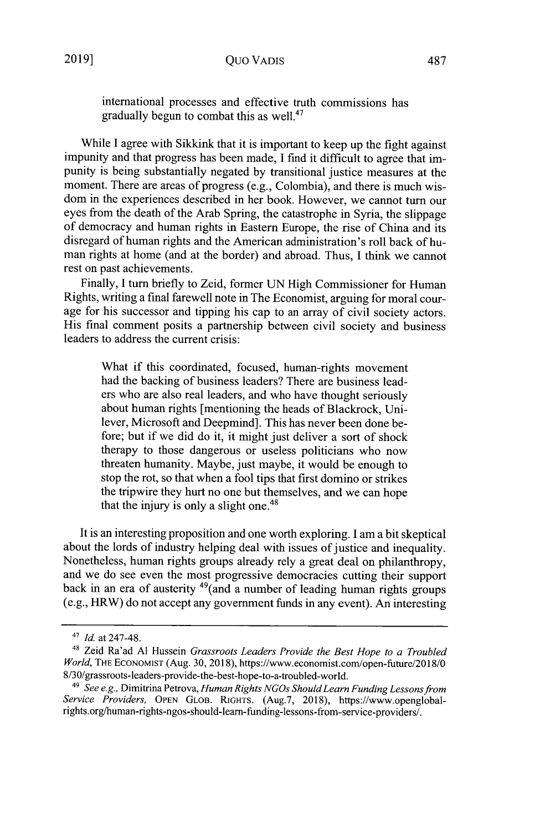gradually begun to combat this as well.<sup>47</sup>

While I agree with Sikkink that it is important to keep up the fight against impunity and that progress has been made, I find it difficult to agree that impunity is being substantially negated by transitional justice measures at the moment. There are areas of progress (e.g., Colombia), and there is much wisdom in the experiences described in her book. However, we cannot turn our eyes from the death of the Arab Spring, the catastrophe in Syria, the slippage of democracy and human rights in Eastern Europe, the rise of China and its disregard of human rights and the American administration's roll back of human rights at home (and at the border) and abroad. Thus, I think we cannot rest on past achievements.

Finally, I turn briefly to Zeid, former UN High Commissioner for Human Rights, writing a final farewell note in The Economist, arguing for moral courage for his successor and tipping his cap to an array of civil society actors. His final comment posits a partnership between civil society and business leaders to address the current crisis:

What if this coordinated, focused, human-rights movement had the backing of business leaders? There are business leaders who are also real leaders, and who have thought seriously about human rights [mentioning the heads of Blackrock, Unilever, Microsoft and Deepmind]. This has never been done before; but if we did do it, it might just deliver a sort of shock therapy to those dangerous or useless politicians who now threaten humanity. Maybe, just maybe, it would be enough to stop the rot, so that when a fool tips that first domino or strikes the tripwire they hurt no one but themselves, and we can hope that the injury is only a slight one.<sup>48</sup>

It is an interesting proposition and one worth exploring. I am a bit skeptical about the lords of industry helping deal with issues of justice and inequality. Nonetheless, human rights groups already rely a great deal on philanthropy, and we do see even the most progressive democracies cutting their support back in an era of austerity  $49$  (and a number of leading human rights groups (e.g., HRW) do not accept any government funds in any event). An interesting

*<sup>41</sup>Id.* at 247-48.

<sup>48</sup>Zeid Ra'ad **Al** Hussein *Grassroots Leaders Provide the Best Hope to a Troubled World,* THE ECONOMIST (Aug. 30, 2018), https://www.economist.com/open-future/2018/0 8/30/grassroots-leaders-provide-the-best-hope-to-a-troubled-world.

*<sup>49</sup>See e.g.,* Dimitrina Petrova, *Human Rights NGOs ShouldLearn Funding Lessons from Service Providers,* OPEN GLOB. RIGHTS. (Aug.7, 2018), https://www.openglobalrights.org/human-rights-ngos-should-leam-funding-lessons-from-service-providers/.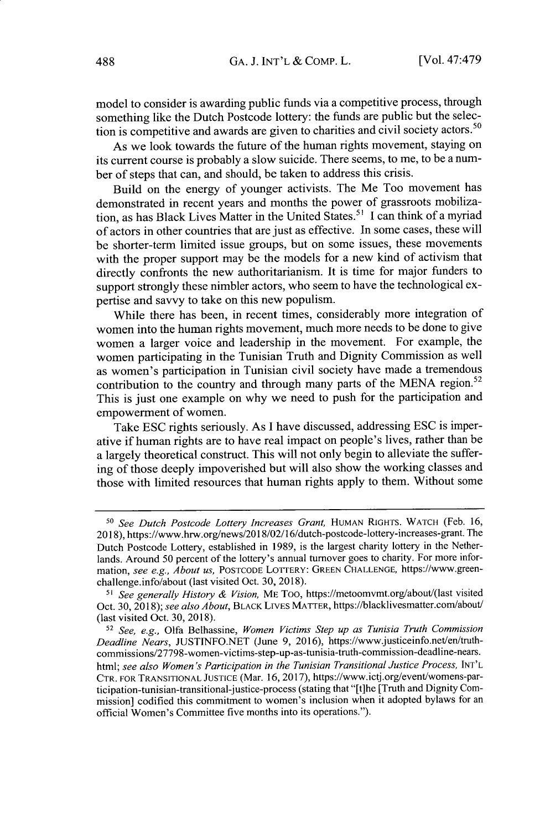model to consider is awarding public funds via a competitive process, through something like the Dutch Postcode lottery: the funds are public but the selection is competitive and awards are given to charities and civil society actors.<sup>50</sup>

As we look towards the future of the human rights movement, staying on its current course is probably a slow suicide. There seems, to me, to be a number of steps that can, and should, be taken to address this crisis.

Build on the energy of younger activists. The Me Too movement has demonstrated in recent years and months the power of grassroots mobilization, as has Black Lives Matter in the United States.<sup>51</sup> I can think of a myriad of actors in other countries that are just as effective. In some cases, these will be shorter-term limited issue groups, but on some issues, these movements with the proper support may be the models for a new kind of activism that directly confronts the new authoritarianism. It is time for major funders to support strongly these nimbler actors, who seem to have the technological expertise and savvy to take on this new populism.

While there has been, in recent times, considerably more integration of women into the human rights movement, much more needs to be done to give women a larger voice and leadership in the movement. For example, the women participating in the Tunisian Truth and Dignity Commission as well as women's participation in Tunisian civil society have made a tremendous contribution to the country and through many parts of the MENA region.<sup>52</sup> This is just one example on why we need to push for the participation and empowerment of women.

Take ESC rights seriously. As I have discussed, addressing ESC is imperative if human rights are to have real impact on people's lives, rather than be a largely theoretical construct. This will not only begin to alleviate the suffering of those deeply impoverished but will also show the working classes and those with limited resources that human rights apply to them. Without some

<sup>50</sup>*See Dutch Postcode Lottery Increases Grant,* HUMAN RIGHTS. WATCH (Feb. 16, 2018), https://www.hrw.org/news/2018/02/16/dutch-postcode-lottery-increases-grant. The Dutch Postcode Lottery, established in 1989, is the largest charity lottery in the Netherlands. Around 50 percent of the lottery's annual turnover goes to charity. For more information, *see e.g., About us,* **POSTCODE** LOTTERY: GREEN CHALLENGE, https://www.greenchallenge.info/about (last visited Oct. 30, 2018).

<sup>&</sup>lt;sup>51</sup> See generally History & Vision, ME Too, https://metoomvmt.org/about/(last visited Oct. 30, 2018); *see also About,* BLACK LIVES MATTER, https://blacklivesmatter.com/about/ (last visited Oct. 30, 2018).

*<sup>&</sup>quot; See, e.g.,* Olfa Belhassine, *Women Victims Step up as Tunisia Truth Commission Deadline Nears,* JUSTINFO.NET (June 9, 2016), https://www.justiceinfo.net/en/truthcommissions/27798-women-victims-step-up-as-tunisia-truth-cmmissin-deadine-nears. html; *see also Women's Participation in the Tunisian Transitional Justice Process,* INT'L CTR. FOR TRANSITIONAL JUSTICE (Mar. 16, 2017), https://www.ictj.org/event/womens-participation-tunisian-transitional-justice-process (stating that "[t]he [Truth and Dignity Commission] codified this commitment to women's inclusion when it adopted bylaws for an official Women's Committee five months into its operations.").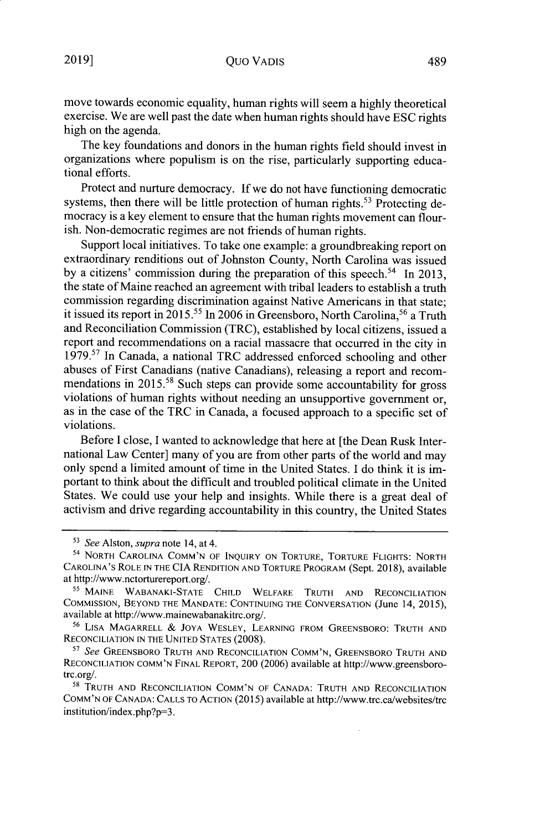move towards economic equality, human rights will seem a highly theoretical exercise. We are well past the date when human rights should have ESC rights high on the agenda.

The key foundations and donors in the human rights field should invest in organizations where populism is on the rise, particularly supporting educational efforts.

Protect and nurture democracy. If we do not have functioning democratic systems, then there will be little protection of human rights.<sup>53</sup> Protecting democracy is a key element to ensure that the human rights movement can flourish. Non-democratic regimes are not friends of human rights.

Support local initiatives. To take one example: a groundbreaking report on extraordinary renditions out of Johnston County, North Carolina was issued by a citizens' commission during the preparation of this speech.<sup>54</sup> In 2013, the state of Maine reached an agreement with tribal leaders to establish a truth commission regarding discrimination against Native Americans in that state; it issued its report in 2015.<sup>55</sup> In 2006 in Greensboro, North Carolina,<sup>56</sup> a Truth and Reconciliation Commission (TRC), established by local citizens, issued a report and recommendations on a racial massacre that occurred in the city in 1979.<sup>57</sup> In Canada, a national TRC addressed enforced schooling and other abuses of First Canadians (native Canadians), releasing a report and recommendations in 2015.<sup>58</sup> Such steps can provide some accountability for gross violations of human rights without needing an unsupportive government or, as in the case of the TRC in Canada, a focused approach to a specific set of violations.

Before I close, I wanted to acknowledge that here at [the Dean Rusk International Law Center] many of you are from other parts of the world and may only spend a limited amount of time in the United States. I do think it is important to think about the difficult and troubled political climate in the United States. We could use your help and insights. While there is a great deal of activism and drive regarding accountability in this country, the United States

<sup>56</sup>LISA MAGARRELL **&** JOYA WESLEY, LEARNING FROM GREENSBORO: TRUTH AND RECONCILIATION IN THE UNITED STATES (2008).

*<sup>51</sup>See* GREENSBORO TRUTH AND RECONCILIATION COMM'N, GREENSBORO TRUTH AND RECONCILIATION COMM'N FINAL REPORT, 200 (2006) available at http://www.greensborotrc.org/.

**<sup>58</sup>**TRUTH AND RECONCILIATION COMM'N OF CANADA: TRUTH AND RECONCILIATION COMM'N OF CANADA: CALLS TO ACTION (2015) available at http://www.trc.ca/websites/trc institution/index.php?p=3.

*<sup>13</sup>See* Alston, *supra* note 14, at 4.

<sup>54</sup> NORTH CAROLINA COMM'N OF INQUIRY ON TORTURE, TORTURE FLIGHTS: NORTH CAROLINA'S ROLE **IN** THE CIA RENDITION AND TORTURE PROGRAM (Sept. 2018), available at http://www.nctorturereport.org/.

**<sup>&</sup>quot;** MAINE WABANAKI-STATE CHILD WELFARE TRUTH **AND** RECONCILIATION COMMISSION, BEYOND THE MANDATE: CONTINUING THE CONVERSATION (June 14, 2015), available at http://www.mainewabanakitrc.org/.